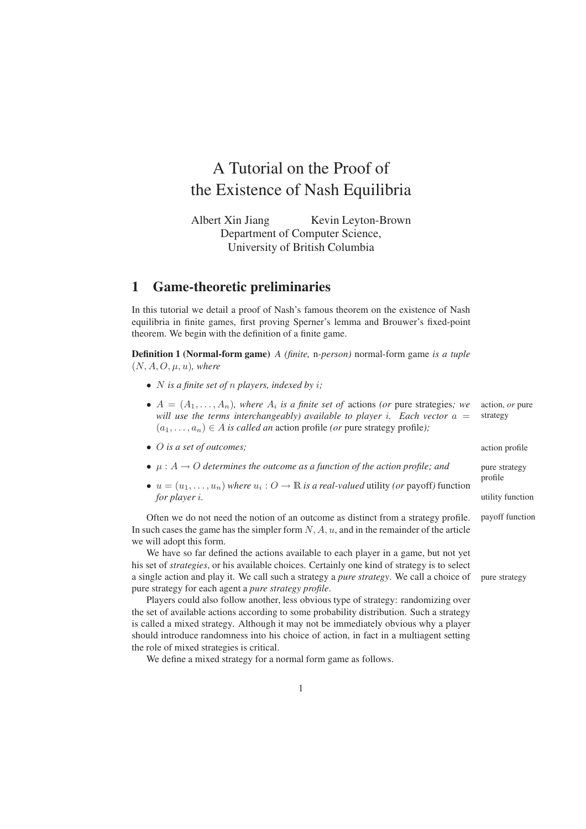# A Tutorial on the Proof of the Existence of Nash Equilibria

Albert Xin Jiang Kevin Leyton-Brown Department of Computer Science, University of British Columbia

### **1 Game-theoretic preliminaries**

In this tutorial we detail a proof of Nash's famous theorem on the existence of Nash equilibria in finite games, first proving Sperner's lemma and Brouwer's fixed-point theorem. We begin with the definition of a finite game.

**Definition 1 (Normal-form game)** *A (finite,* n*-person)* normal-form game *is a tuple*  $(N, A, O, \mu, u)$ *, where* 

- N *is a finite set of* n *players, indexed by* i*;*
- $\bullet$   $A = (A_1, \ldots, A_n)$ , where  $A_i$  is a finite set of actions (or pure strategies; we action, or pure *will use the terms interchangeably) available to player i. Each vector*  $a =$  strategy  $(a_1, \ldots, a_n) \in A$  *is called an* action profile *(or* pure strategy profile*)*;

action profile pure strategy profile

utility function

payoff function

- O *is a set of outcomes;*
- $\mu: A \to O$  *determines the outcome as a function of the action profile; and*
- $u = (u_1, \ldots, u_n)$  *where*  $u_i : O \to \mathbb{R}$  *is a real-valued* utility *(or* payoff) function *for player* i*.*

Often we do not need the notion of an outcome as distinct from a strategy profile. In such cases the game has the simpler form  $N$ ,  $A$ ,  $u$ , and in the remainder of the article we will adopt this form.

We have so far defined the actions available to each player in a game, but not yet his set of *strategies*, or his available choices. Certainly one kind of strategy is to select a single action and play it. We call such a strategy a *pure strategy*. We call a choice of pure strategy pure strategy for each agent a *pure strategy profile*.

Players could also follow another, less obvious type of strategy: randomizing over the set of available actions according to some probability distribution. Such a strategy is called a mixed strategy. Although it may not be immediately obvious why a player should introduce randomness into his choice of action, in fact in a multiagent setting the role of mixed strategies is critical.

We define a mixed strategy for a normal form game as follows.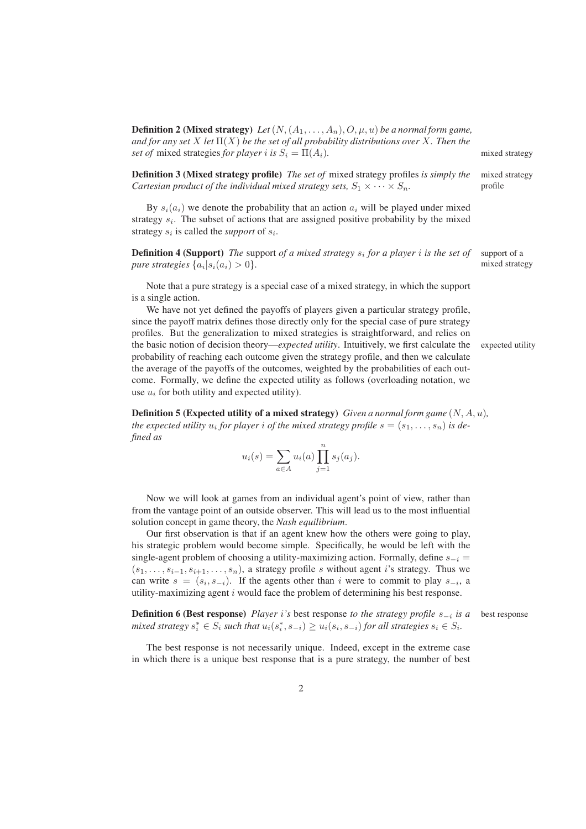**Definition 2 (Mixed strategy)** *Let*  $(N, (A_1, \ldots, A_n), O, \mu, u)$  *be a normal form game, and for any set* X *let* Π(X) *be the set of all probability distributions over* X*. Then the set of* mixed strategies *for player i is*  $S_i = \Pi(A_i)$ . mixed strategy

**Definition 3 (Mixed strategy profile)** *The set of* mixed strategy profiles *is simply the* mixed strategy *Cartesian product of the individual mixed strategy sets,*  $S_1 \times \cdots \times S_n$ . profile

By  $s_i(a_i)$  we denote the probability that an action  $a_i$  will be played under mixed strategy  $s_i$ . The subset of actions that are assigned positive probability by the mixed strategy  $s_i$  is called the *support* of  $s_i$ .

**Definition 4 (Support)** *The* support *of a mixed strategy* s<sup>i</sup> *for a player* i *is the set of* support of a *pure strategies*  $\{a_i | s_i(a_i) > 0\}$ . mixed strategy

Note that a pure strategy is a special case of a mixed strategy, in which the support is a single action.

We have not yet defined the payoffs of players given a particular strategy profile, since the payoff matrix defines those directly only for the special case of pure strategy profiles. But the generalization to mixed strategies is straightforward, and relies on the basic notion of decision theory—*expected utility*. Intuitively, we first calculate the expected utility probability of reaching each outcome given the strategy profile, and then we calculate the average of the payoffs of the outcomes, weighted by the probabilities of each outcome. Formally, we define the expected utility as follows (overloading notation, we use  $u_i$  for both utility and expected utility).

**Definition 5 (Expected utility of a mixed strategy)** *Given a normal form game* (N, A, u)*, the expected utility*  $u_i$  *for player*  $i$  *of the mixed strategy profile*  $s = (s_1, \ldots, s_n)$  *is defined as*

$$
u_i(s) = \sum_{a \in A} u_i(a) \prod_{j=1}^n s_j(a_j).
$$

Now we will look at games from an individual agent's point of view, rather than from the vantage point of an outside observer. This will lead us to the most influential solution concept in game theory, the *Nash equilibrium*.

Our first observation is that if an agent knew how the others were going to play, his strategic problem would become simple. Specifically, he would be left with the single-agent problem of choosing a utility-maximizing action. Formally, define  $s_{-i}$  =  $(s_1, \ldots, s_{i-1}, s_{i+1}, \ldots, s_n)$ , a strategy profile s without agent i's strategy. Thus we can write  $s = (s_i, s_{-i})$ . If the agents other than i were to commit to play  $s_{-i}$ , a utility-maximizing agent  $i$  would face the problem of determining his best response.

**Definition 6 (Best response)** *Player* i<sup>'s</sup> best response *to the strategy profile*  $s_{-i}$  is a  $mixed strategy s_i^* \in S_i$  such that  $u_i(s_i^*, s_{-i}) \ge u_i(s_i, s_{-i})$  for all strategies  $s_i \in S_i$ .

The best response is not necessarily unique. Indeed, except in the extreme case in which there is a unique best response that is a pure strategy, the number of best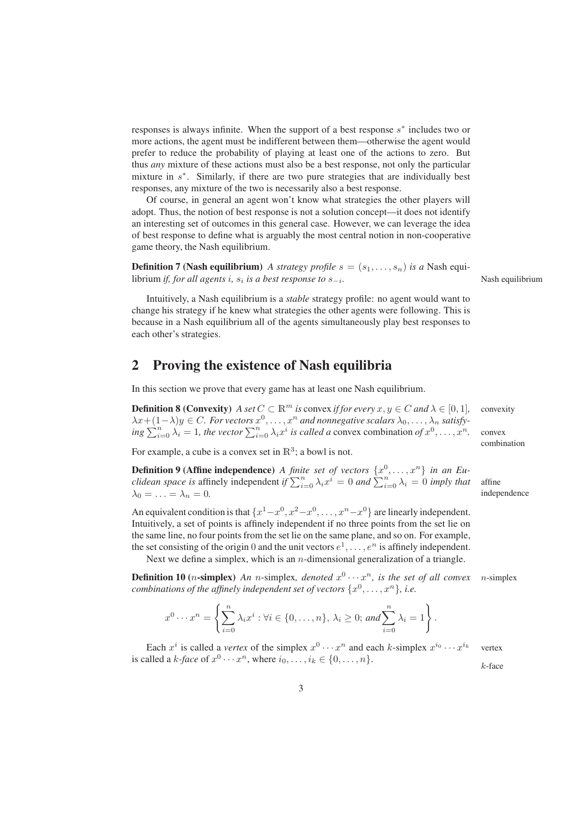responses is always infinite. When the support of a best response  $s^*$  includes two or more actions, the agent must be indifferent between them—otherwise the agent would prefer to reduce the probability of playing at least one of the actions to zero. But thus *any* mixture of these actions must also be a best response, not only the particular mixture in  $s^*$ . Similarly, if there are two pure strategies that are individually best responses, any mixture of the two is necessarily also a best response.

Of course, in general an agent won't know what strategies the other players will adopt. Thus, the notion of best response is not a solution concept—it does not identify an interesting set of outcomes in this general case. However, we can leverage the idea of best response to define what is arguably the most central notion in non-cooperative game theory, the Nash equilibrium.

**Definition 7 (Nash equilibrium)** *A strategy profile*  $s = (s_1, \ldots, s_n)$  *is a* Nash equilibrium *if, for all agents* i*,* s<sup>i</sup> *is a best response to* s−<sup>i</sup>

because in a Nash equilibrium all of the agents simultaneously play best responses to

Intuitively, a Nash equilibrium is a *stable* strategy profile: no agent would want to change his strategy if he knew what strategies the other agents were following. This is

## **2 Proving the existence of Nash equilibria**

In this section we prove that every game has at least one Nash equilibrium.

**Definition 8 (Convexity)** *A set*  $C \subset \mathbb{R}^m$  *is* convex *if for every*  $x, y \in C$  *and*  $\lambda \in [0, 1]$ *,* convexity  $\lambda x+(1-\lambda)y \in C$ . For vectors  $x^0, \ldots, x^n$  and nonnegative scalars  $\lambda_0, \ldots, \lambda_n$  satisfy- $\lim_{n \to \infty} \sum_{i=0}^{n} \lambda_i = 1$ , the vector  $\sum_{i=0}^{n} \lambda_i x^i$  is called a convex combination of  $x^0, \dots, x^n$ . convex

For example, a cube is a convex set in  $\mathbb{R}^3$ ; a bowl is not.

each other's strategies.

**Definition 9 (Affine independence)** *A finite set of vectors*  $\{x^0, \ldots, x^n\}$  *in an Euclidean space is* affinely independent *if*  $\sum_{i=0}^{n} \lambda_i x^i = 0$  *and*  $\sum_{i=0}^{n} \lambda_i = 0$  *imply that* affine  $\lambda_0 = \ldots = \lambda_n = 0.$  independence

An equivalent condition is that  $\{x^1 - x^0, x^2 - x^0, \ldots, x^n - x^0\}$  are linearly independent. Intuitively, a set of points is affinely independent if no three points from the set lie on the same line, no four points from the set lie on the same plane, and so on. For example, the set consisting of the origin 0 and the unit vectors  $e^1, \ldots, e^n$  is affinely independent.

Next we define a simplex, which is an  $n$ -dimensional generalization of a triangle.

**Definition 10** (*n*-simplex) *An n*-simplex, *denoted*  $x^0 \cdots x^n$ , *is the set of all convex n*-simplex *combinations of the affinely independent set of vectors*  $\{x^0, \ldots, x^n\}$ , *i.e.* 

$$
x^{0}\cdots x^{n} = \left\{\sum_{i=0}^{n} \lambda_{i} x^{i} : \forall i \in \{0,\ldots,n\}, \lambda_{i} \geq 0; \text{ and } \sum_{i=0}^{n} \lambda_{i} = 1\right\}.
$$

Each  $x^i$  is called a *vertex* of the simplex  $x^0 \cdots x^n$  and each *k*-simplex  $x^{i_0} \cdots x^n$ vertex is called a *k*-face of  $x^0 \cdots x^n$ , where  $i_0, \ldots, i_k \in \{0, \ldots, n\}$ .

k-face

*.* Nash equilibrium

combination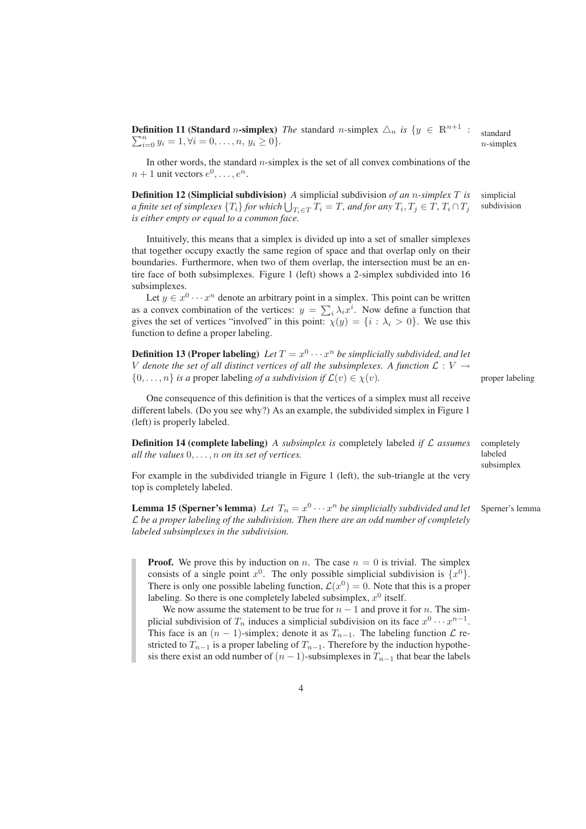**Definition 11 (Standard** *n*-simplex) *The* standard *n*-simplex  $\Delta_n$  *is*  $\{y \in \mathbb{R}^{n+1}$  : standard  $n$ -simplex  $\sum_{i=0}^{n} y_i = 1, \forall i = 0, \ldots, n, y_i \geq 0$ *}*.

In other words, the standard  $n$ -simplex is the set of all convex combinations of the  $n+1$  unit vectors  $e^0, \ldots, e^n$ .

**Definition 12 (Simplicial subdivision)** *A* simplicial subdivision *of an* n*-simplex* T *is* simplicial *a finite set of simplexes*  $\{T_i\}$  *for which*  $\bigcup_{T_i \in T} T_i = T$ *, and for any*  $T_i, T_j \in T$ *,*  $T_i \cap T_j$  *w*ubdivision *is either empty or equal to a common face.*

Intuitively, this means that a simplex is divided up into a set of smaller simplexes that together occupy exactly the same region of space and that overlap only on their boundaries. Furthermore, when two of them overlap, the intersection must be an entire face of both subsimplexes. Figure 1 (left) shows a 2-simplex subdivided into 16 subsimplexes.

Let  $y \in x^0 \cdots x^n$  denote an arbitrary point in a simplex. This point can be written as a convex combination of the vertices:  $y = \sum_i \lambda_i x^i$ . Now define a function that gives the set of vertices "involved" in this point:  $\chi(y) = \{i : \lambda_i > 0\}$ . We use this function to define a proper labeling.

**Definition 13 (Proper labeling)** Let  $T = x^0 \cdots x^n$  be simplicially subdivided, and let V denote the set of all distinct vertices of all the subsimplexes. A function  $\mathcal{L}: V \rightarrow$ {0,..., *n*} *is a* proper labeling *of a subdivision if*  $\mathcal{L}(v) \in \chi(v)$ . proper labeling

One consequence of this definition is that the vertices of a simplex must all receive different labels. (Do you see why?) As an example, the subdivided simplex in Figure 1 (left) is properly labeled.

**Definition 14 (complete labeling)** *A subsimplex is* completely labeled *if* L *assumes* completely *all the values* 0, . . . , n *on its set of vertices.*

labeled subsimplex

For example in the subdivided triangle in Figure 1 (left), the sub-triangle at the very top is completely labeled.

**Lemma 15 (Sperner's lemma)** Let  $T_n = x^0 \cdots x^n$  be simplicially subdivided and let Sperner's lemma L *be a proper labeling of the subdivision. Then there are an odd number of completely labeled subsimplexes in the subdivision.*

**Proof.** We prove this by induction on n. The case  $n = 0$  is trivial. The simplex consists of a single point  $x^0$ . The only possible simplicial subdivision is  $\{x^0\}$ . There is only one possible labeling function,  $\mathcal{L}(x^0) = 0$ . Note that this is a proper labeling. So there is one completely labeled subsimplex,  $x^0$  itself.

We now assume the statement to be true for  $n - 1$  and prove it for n. The simplicial subdivision of  $T_n$  induces a simplicial subdivision on its face  $x^0 \cdots x^{n-1}$ . This face is an  $(n - 1)$ -simplex; denote it as  $T_{n-1}$ . The labeling function  $\mathcal{L}$  restricted to  $T_{n-1}$  is a proper labeling of  $T_{n-1}$ . Therefore by the induction hypothesis there exist an odd number of  $(n - 1)$ -subsimplexes in  $T_{n-1}$  that bear the labels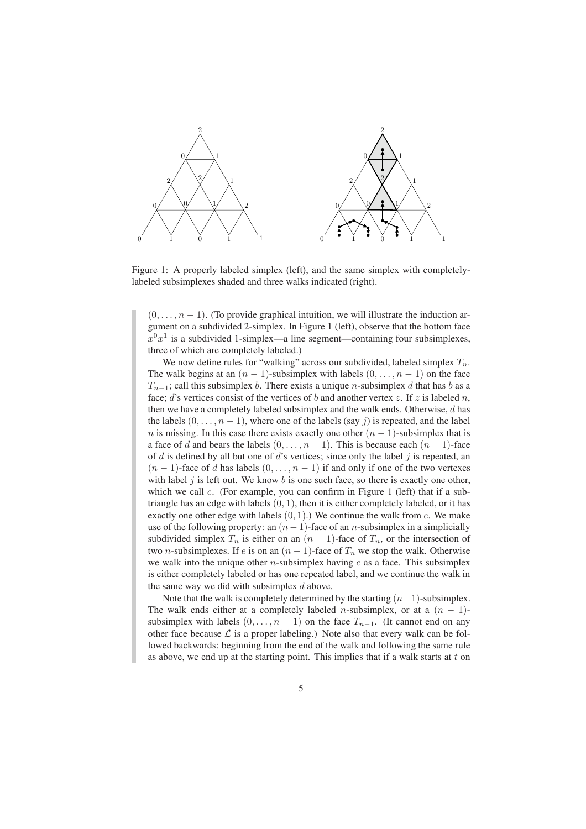

Figure 1: A properly labeled simplex (left), and the same simplex with completelylabeled subsimplexes shaded and three walks indicated (right).

 $(0, \ldots, n-1)$ . (To provide graphical intuition, we will illustrate the induction argument on a subdivided 2-simplex. In Figure 1 (left), observe that the bottom face  $x^0x^1$  is a subdivided 1-simplex—a line segment—containing four subsimplexes, three of which are completely labeled.)

We now define rules for "walking" across our subdivided, labeled simplex  $T_n$ . The walk begins at an  $(n - 1)$ -subsimplex with labels  $(0, \ldots, n - 1)$  on the face  $T_{n-1}$ ; call this subsimplex b. There exists a unique n-subsimplex d that has b as a face; d's vertices consist of the vertices of b and another vertex z. If z is labeled n, then we have a completely labeled subsimplex and the walk ends. Otherwise,  $d$  has the labels  $(0, \ldots, n-1)$ , where one of the labels (say j) is repeated, and the label *n* is missing. In this case there exists exactly one other  $(n - 1)$ -subsimplex that is a face of d and bears the labels  $(0, \ldots, n-1)$ . This is because each  $(n-1)$ -face of  $d$  is defined by all but one of  $d$ 's vertices; since only the label  $j$  is repeated, an  $(n-1)$ -face of d has labels  $(0, \ldots, n-1)$  if and only if one of the two vertexes with label  $j$  is left out. We know b is one such face, so there is exactly one other, which we call *e*. (For example, you can confirm in Figure 1 (left) that if a subtriangle has an edge with labels  $(0, 1)$ , then it is either completely labeled, or it has exactly one other edge with labels  $(0, 1)$ .) We continue the walk from e. We make use of the following property: an  $(n - 1)$ -face of an *n*-subsimplex in a simplicially subdivided simplex  $T_n$  is either on an  $(n - 1)$ -face of  $T_n$ , or the intersection of two *n*-subsimplexes. If e is on an  $(n - 1)$ -face of  $T_n$  we stop the walk. Otherwise we walk into the unique other *n*-subsimplex having  $e$  as a face. This subsimplex is either completely labeled or has one repeated label, and we continue the walk in the same way we did with subsimplex  $d$  above.

Note that the walk is completely determined by the starting  $(n-1)$ -subsimplex. The walk ends either at a completely labeled n-subsimplex, or at a  $(n - 1)$ subsimplex with labels  $(0, \ldots, n-1)$  on the face  $T_{n-1}$ . (It cannot end on any other face because  $\mathcal L$  is a proper labeling.) Note also that every walk can be followed backwards: beginning from the end of the walk and following the same rule as above, we end up at the starting point. This implies that if a walk starts at  $t$  on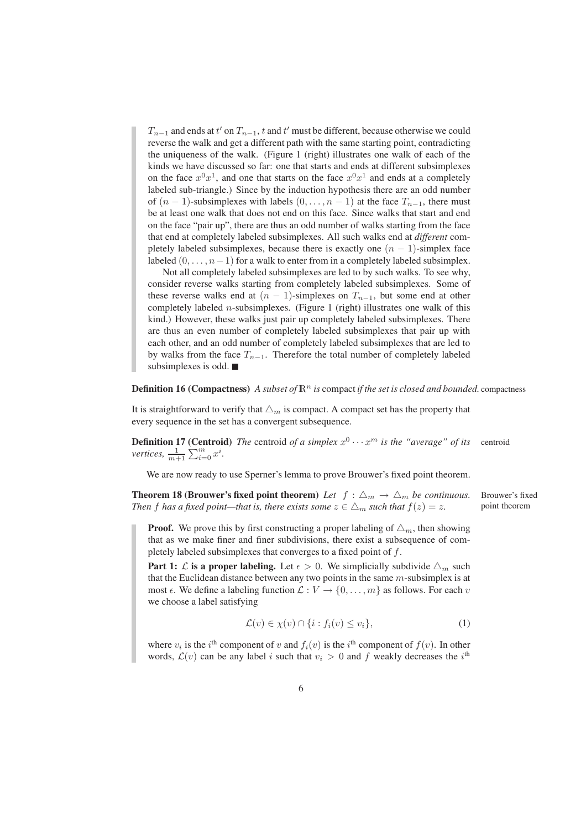$T_{n-1}$  and ends at  $t'$  on  $T_{n-1}$ ,  $t$  and  $t'$  must be different, because otherwise we could reverse the walk and get a different path with the same starting point, contradicting the uniqueness of the walk. (Figure 1 (right) illustrates one walk of each of the kinds we have discussed so far: one that starts and ends at different subsimplexes on the face  $x^0x^1$ , and one that starts on the face  $x^0x^1$  and ends at a completely labeled sub-triangle.) Since by the induction hypothesis there are an odd number of  $(n - 1)$ -subsimplexes with labels  $(0, \ldots, n - 1)$  at the face  $T_{n-1}$ , there must be at least one walk that does not end on this face. Since walks that start and end on the face "pair up", there are thus an odd number of walks starting from the face that end at completely labeled subsimplexes. All such walks end at *different* completely labeled subsimplexes, because there is exactly one  $(n - 1)$ -simplex face labeled  $(0, \ldots, n-1)$  for a walk to enter from in a completely labeled subsimplex.

Not all completely labeled subsimplexes are led to by such walks. To see why, consider reverse walks starting from completely labeled subsimplexes. Some of these reverse walks end at  $(n - 1)$ -simplexes on  $T_{n-1}$ , but some end at other completely labeled *n*-subsimplexes. (Figure 1 (right) illustrates one walk of this kind.) However, these walks just pair up completely labeled subsimplexes. There are thus an even number of completely labeled subsimplexes that pair up with each other, and an odd number of completely labeled subsimplexes that are led to by walks from the face  $T_{n-1}$ . Therefore the total number of completely labeled subsimplexes is odd.

#### **Definition 16 (Compactness)** *A subset of*  $\mathbb{R}^n$  *is* compact *if the set is closed and bounded.* compactness

It is straightforward to verify that  $\Delta_m$  is compact. A compact set has the property that every sequence in the set has a convergent subsequence.

**Definition 17 (Centroid)** The centroid of a simplex  $x^0 \cdots x^m$  is the "average" of its centroid *vertices,*  $\frac{1}{m+1} \sum_{i=0}^{m} x^i$ .

We are now ready to use Sperner's lemma to prove Brouwer's fixed point theorem.

**Theorem 18 (Brouwer's fixed point theorem)** Let  $f : \Delta_m \to \Delta_m$  be continuous. Brouwer's fixed *Then* f has a fixed point—that is, there exists some  $z \in \Delta_m$  such that  $f(z) = z$ . point theorem

**Proof.** We prove this by first constructing a proper labeling of  $\Delta_m$ , then showing that as we make finer and finer subdivisions, there exist a subsequence of completely labeled subsimplexes that converges to a fixed point of f.

**Part 1:**  $\mathcal{L}$  is a proper labeling. Let  $\epsilon > 0$ . We simplicially subdivide  $\Delta_m$  such that the Euclidean distance between any two points in the same  $m$ -subsimplex is at most  $\epsilon$ . We define a labeling function  $\mathcal{L}: V \to \{0, \ldots, m\}$  as follows. For each v we choose a label satisfying

$$
\mathcal{L}(v) \in \chi(v) \cap \{i : f_i(v) \le v_i\},\tag{1}
$$

where  $v_i$  is the i<sup>th</sup> component of v and  $f_i(v)$  is the i<sup>th</sup> component of  $f(v)$ . In other words,  $\mathcal{L}(v)$  can be any label i such that  $v_i > 0$  and f weakly decreases the i<sup>th</sup>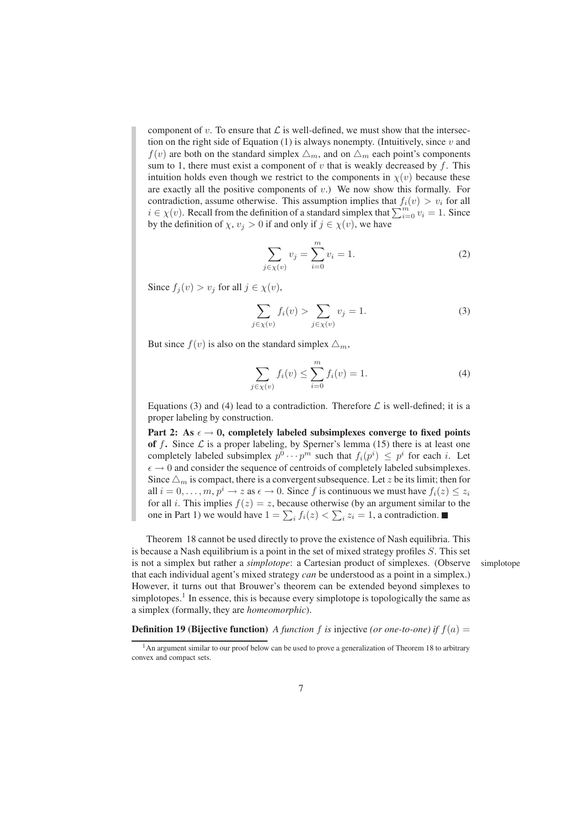component of v. To ensure that  $\mathcal L$  is well-defined, we must show that the intersection on the right side of Equation (1) is always nonempty. (Intuitively, since  $v$  and  $f(v)$  are both on the standard simplex  $\triangle_m$ , and on  $\triangle_m$  each point's components sum to 1, there must exist a component of  $v$  that is weakly decreased by  $f$ . This intuition holds even though we restrict to the components in  $\chi(v)$  because these are exactly all the positive components of  $v$ .) We now show this formally. For contradiction, assume otherwise. This assumption implies that  $f_i(v) > v_i$  for all  $i \in \chi(v)$ . Recall from the definition of a standard simplex that  $\sum_{i=0}^{m} v_i = 1$ . Since by the definition of  $\chi, v_j > 0$  if and only if  $j \in \chi(v)$ , we have

$$
\sum_{j \in \chi(v)} v_j = \sum_{i=0}^{m} v_i = 1.
$$
 (2)

Since  $f_i(v) > v_j$  for all  $j \in \chi(v)$ ,

$$
\sum_{j \in \chi(v)} f_i(v) > \sum_{j \in \chi(v)} v_j = 1. \tag{3}
$$

But since  $f(v)$  is also on the standard simplex  $\triangle_m$ ,

$$
\sum_{j \in \chi(v)} f_i(v) \le \sum_{i=0}^m f_i(v) = 1.
$$
 (4)

Equations (3) and (4) lead to a contradiction. Therefore  $\mathcal L$  is well-defined; it is a proper labeling by construction.

**Part 2:** As  $\epsilon \to 0$ , completely labeled subsimplexes converge to fixed points of  $f$ . Since  $\mathcal L$  is a proper labeling, by Sperner's lemma (15) there is at least one completely labeled subsimplex  $p^0 \cdots p^m$  such that  $f_i(p^i) \leq p^i$  for each i. Let  $\epsilon \rightarrow 0$  and consider the sequence of centroids of completely labeled subsimplexes. Since  $\Delta_m$  is compact, there is a convergent subsequence. Let z be its limit; then for all  $i = 0, \ldots, m, p^i \to z$  as  $\epsilon \to 0$ . Since f is continuous we must have  $f_i(z) \leq z_i$ for all *i*. This implies  $f(z) = z$ , because otherwise (by an argument similar to the one in Part 1) we would have  $1 = \sum_i f_i(z) < \sum_i z_i = 1$ , a contradiction.

Theorem 18 cannot be used directly to prove the existence of Nash equilibria. This is because a Nash equilibrium is a point in the set of mixed strategy profiles S. This set is not a simplex but rather a *simplotope*: a Cartesian product of simplexes. (Observe simplotope that each individual agent's mixed strategy *can* be understood as a point in a simplex.) However, it turns out that Brouwer's theorem can be extended beyond simplexes to simplotopes.<sup>1</sup> In essence, this is because every simplotope is topologically the same as a simplex (formally, they are *homeomorphic*).

**Definition 19 (Bijective function)** *A function f is* injective *(or one-to-one)* if  $f(a) =$ 

<sup>&</sup>lt;sup>1</sup>An argument similar to our proof below can be used to prove a generalization of Theorem 18 to arbitrary convex and compact sets.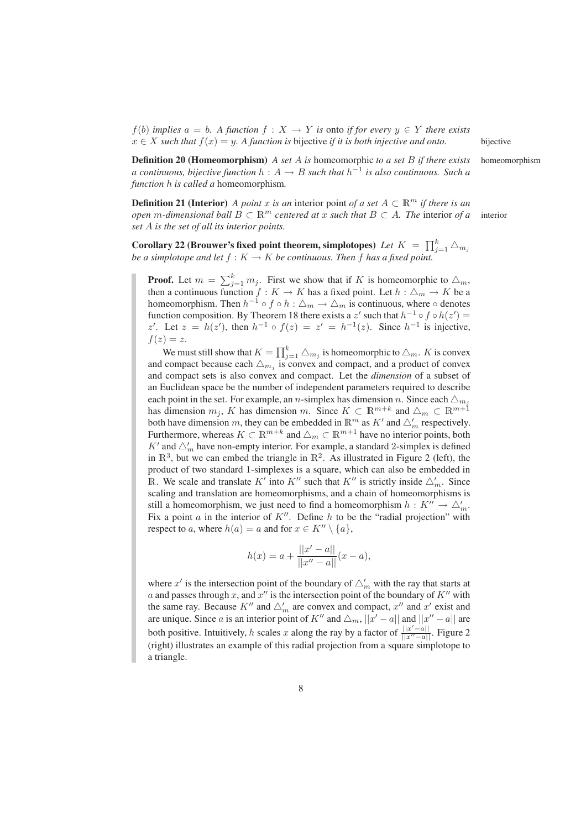$f(b)$  *implies*  $a = b$ *. A function*  $f : X \to Y$  *is* onto *if for every*  $y \in Y$  *there exists*  $x \in X$  *such that*  $f(x) = y$ *. A function is bijective if it is both injective and onto.* bijective

**Definition 20 (Homeomorphism)** *A set* A *is* homeomorphic *to a set* B *if there exists* homeomorphism *a continuous, bijective function*  $h: A \rightarrow B$  *such that*  $h^{-1}$  *is also continuous. Such a function* h *is called a* homeomorphism*.*

**Definition 21 (Interior)** *A point* x *is an* interior point *of a set*  $A \subset \mathbb{R}^m$  *if there is an open* m-dimensional ball  $B \subset \mathbb{R}^m$  *centered at x such that*  $B \subset A$ *. The interior of a* interior *set* A *is the set of all its interior points.*

**Corollary 22 (Brouwer's fixed point theorem, simplotopes)** Let  $K = \prod_{j=1}^{k} \triangle_{m_j}$ *be a simplotope and let*  $f : K \to K$  *be continuous. Then*  $f$  *has a fixed point.* 

**Proof.** Let  $m = \sum_{j=1}^{k} m_j$ . First we show that if K is homeomorphic to  $\Delta_m$ , then a continuous function  $f : K \to K$  has a fixed point. Let  $h : \triangle_m \to K$  be a homeomorphism. Then  $h^{-1} \circ f \circ h : \triangle_m \to \triangle_m$  is continuous, where  $\circ$  denotes function composition. By Theorem 18 there exists a z' such that  $h^{-1} \circ f \circ h(z') =$ z'. Let  $z = h(z')$ , then  $h^{-1} \circ f(z) = z' = h^{-1}(z)$ . Since  $h^{-1}$  is injective,  $f(z) = z$ .

We must still show that  $K = \prod_{j=1}^{k} \bigtriangleup_{m_j}$  is homeomorphic to  $\bigtriangleup_m$ . K is convex and compact because each  $\triangle_{m_j}$  is convex and compact, and a product of convex and compact sets is also convex and compact. Let the *dimension* of a subset of an Euclidean space be the number of independent parameters required to describe each point in the set. For example, an *n*-simplex has dimension *n*. Since each  $\Delta_{m}$ has dimension  $m_j$ , K has dimension m. Since  $K \subset \mathbb{R}^{m+k}$  and  $\triangle_m \subset \mathbb{R}^{m+1}$ both have dimension m, they can be embedded in  $\mathbb{R}^m$  as  $K'$  and  $\triangle'_m$  respectively. Furthermore, whereas  $K \subset \mathbb{R}^{m+k}$  and  $\triangle_m \subset \mathbb{R}^{m+1}$  have no interior points, both  $K'$  and  $\triangle'_m$  have non-empty interior. For example, a standard 2-simplex is defined in  $\mathbb{R}^3$ , but we can embed the triangle in  $\mathbb{R}^2$ . As illustrated in Figure 2 (left), the product of two standard 1-simplexes is a square, which can also be embedded in R. We scale and translate  $K'$  into  $K''$  such that  $K''$  is strictly inside  $\triangle'_m$ . Since scaling and translation are homeomorphisms, and a chain of homeomorphisms is still a homeomorphism, we just need to find a homeomorphism  $h: K'' \to \triangle'_{m}$ . Fix a point  $a$  in the interior of  $K''$ . Define  $h$  to be the "radial projection" with respect to a, where  $h(a) = a$  and for  $x \in K'' \setminus \{a\},\$ 

$$
h(x) = a + \frac{||x' - a||}{||x'' - a||}(x - a),
$$

where  $x'$  is the intersection point of the boundary of  $\triangle'_m$  with the ray that starts at a and passes through x, and  $x''$  is the intersection point of the boundary of  $K''$  with the same ray. Because  $K''$  and  $\triangle'_m$  are convex and compact,  $x''$  and  $x'$  exist and are unique. Since a is an interior point of  $K''$  and  $\triangle_m$ ,  $||x'-a||$  and  $||x''-a||$  are both positive. Intuitively, h scales x along the ray by a factor of  $\frac{||x'-a||}{||x'-a||}$ . Figure 2 (right) illustrates an example of this radial projection from a square simplotope to a triangle.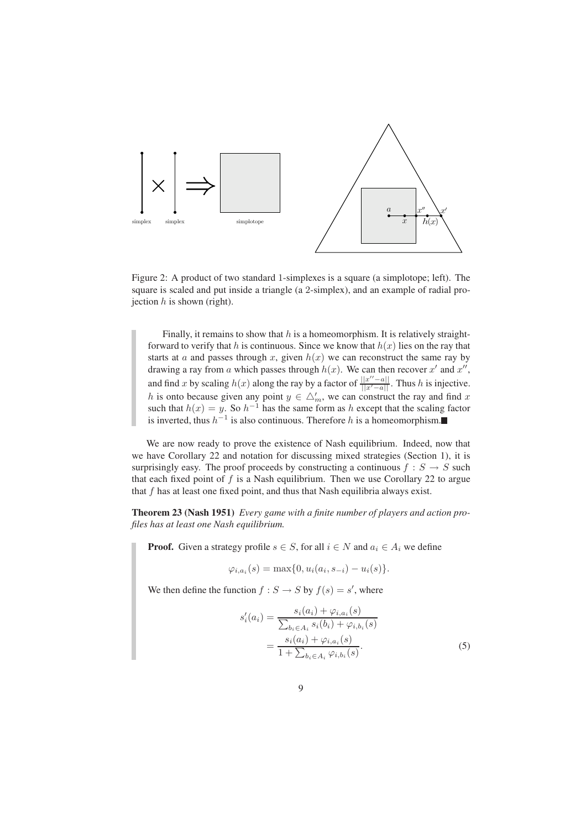

Figure 2: A product of two standard 1-simplexes is a square (a simplotope; left). The square is scaled and put inside a triangle (a 2-simplex), and an example of radial projection  $h$  is shown (right).

Finally, it remains to show that  $h$  is a homeomorphism. It is relatively straightforward to verify that h is continuous. Since we know that  $h(x)$  lies on the ray that starts at a and passes through x, given  $h(x)$  we can reconstruct the same ray by drawing a ray from a which passes through  $h(x)$ . We can then recover x' and x'', and find x by scaling  $h(x)$  along the ray by a factor of  $\frac{||x''-a||}{||x'-a||}$ . Thus h is injective. h is onto because given any point  $y \in \Delta'_m$ , we can construct the ray and find x such that  $h(x) = y$ . So  $h^{-1}$  has the same form as h except that the scaling factor is inverted, thus  $h^{-1}$  is also continuous. Therefore h is a homeomorphism.

We are now ready to prove the existence of Nash equilibrium. Indeed, now that we have Corollary 22 and notation for discussing mixed strategies (Section 1), it is surprisingly easy. The proof proceeds by constructing a continuous  $f : S \rightarrow S$  such that each fixed point of  $f$  is a Nash equilibrium. Then we use Corollary 22 to argue that  $f$  has at least one fixed point, and thus that Nash equilibria always exist.

**Theorem 23 (Nash 1951)** *Every game with a finite number of players and action profiles has at least one Nash equilibrium.*

**Proof.** Given a strategy profile  $s \in S$ , for all  $i \in N$  and  $a_i \in A_i$  we define

$$
\varphi_{i,a_i}(s) = \max\{0, u_i(a_i, s_{-i}) - u_i(s)\}.
$$

We then define the function  $f : S \to S$  by  $f(s) = s'$ , where

$$
s'_{i}(a_{i}) = \frac{s_{i}(a_{i}) + \varphi_{i,a_{i}}(s)}{\sum_{b_{i} \in A_{i}} s_{i}(b_{i}) + \varphi_{i,b_{i}}(s)}
$$
  
= 
$$
\frac{s_{i}(a_{i}) + \varphi_{i,a_{i}}(s)}{1 + \sum_{b_{i} \in A_{i}} \varphi_{i,b_{i}}(s)}.
$$
 (5)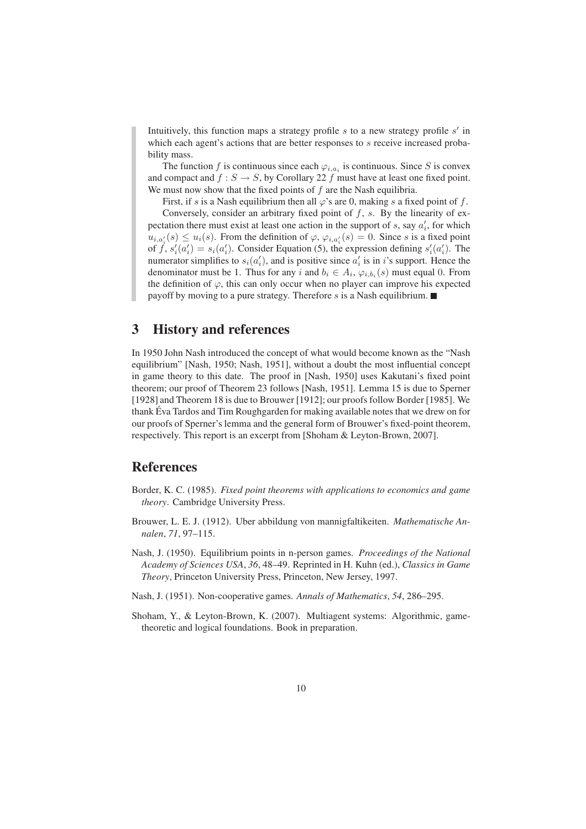Intuitively, this function maps a strategy profile  $s$  to a new strategy profile  $s'$  in which each agent's actions that are better responses to s receive increased probability mass.

The function f is continuous since each  $\varphi_{i,a_i}$  is continuous. Since S is convex and compact and  $f : S \to S$ , by Corollary 22 f must have at least one fixed point. We must now show that the fixed points of  $f$  are the Nash equilibria.

First, if s is a Nash equilibrium then all  $\varphi$ 's are 0, making s a fixed point of f. Conversely, consider an arbitrary fixed point of  $f$ ,  $s$ . By the linearity of expectation there must exist at least one action in the support of  $s$ , say  $a'_{i}$ , for which  $u_{i,a'_i}(s) \leq u_i(s)$ . From the definition of  $\varphi$ ,  $\varphi_{i,a'_i}(s) = 0$ . Since s is a fixed point of  $\dot{f}$ ,  $s'_i(a'_i) = s_i(a'_i)$ . Consider Equation (5), the expression defining  $s'_i(a'_i)$ . The numerator simplifies to  $s_i(a'_i)$ , and is positive since  $a'_i$  is in i's support. Hence the denominator must be 1. Thus for any i and  $b_i \in A_i$ ,  $\varphi_{i,b_i}(s)$  must equal 0. From the definition of  $\varphi$ , this can only occur when no player can improve his expected payoff by moving to a pure strategy. Therefore s is a Nash equilibrium.  $\blacksquare$ 

### **3 History and references**

In 1950 John Nash introduced the concept of what would become known as the "Nash equilibrium" [Nash, 1950; Nash, 1951], without a doubt the most influential concept in game theory to this date. The proof in [Nash, 1950] uses Kakutani's fixed point theorem; our proof of Theorem 23 follows [Nash, 1951]. Lemma 15 is due to Sperner [1928] and Theorem 18 is due to Brouwer [1912]; our proofs follow Border [1985]. We thank Eva Tardos and Tim Roughgarden for making available notes that we drew on for our proofs of Sperner's lemma and the general form of Brouwer's fixed-point theorem, respectively. This report is an excerpt from [Shoham & Leyton-Brown, 2007].

### **References**

- Border, K. C. (1985). *Fixed point theorems with applications to economics and game theory*. Cambridge University Press.
- Brouwer, L. E. J. (1912). Uber abbildung von mannigfaltikeiten. *Mathematische Annalen*, *71*, 97–115.
- Nash, J. (1950). Equilibrium points in n-person games. *Proceedings of the National Academy of Sciences USA*, *36*, 48–49. Reprinted in H. Kuhn (ed.), *Classics in Game Theory*, Princeton University Press, Princeton, New Jersey, 1997.
- Nash, J. (1951). Non-cooperative games. *Annals of Mathematics*, *54*, 286–295.
- Shoham, Y., & Leyton-Brown, K. (2007). Multiagent systems: Algorithmic, gametheoretic and logical foundations. Book in preparation.